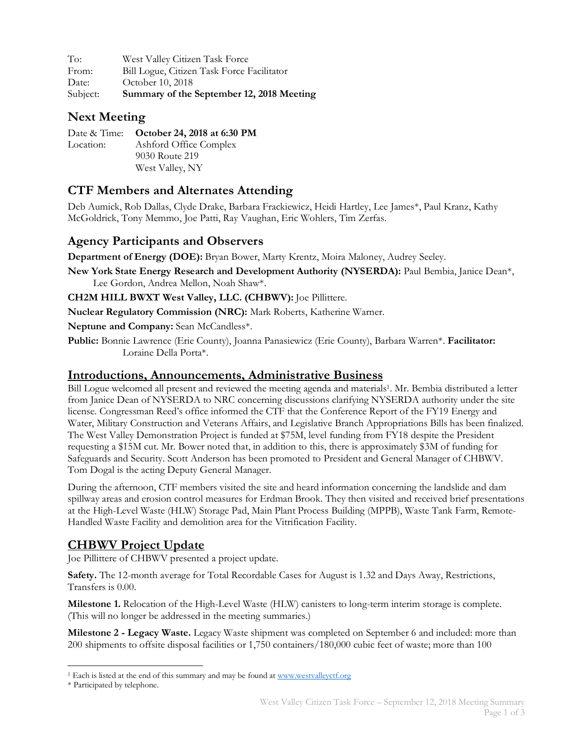To: West Valley Citizen Task Force From: Bill Logue, Citizen Task Force Facilitator Date: October 10, 2018 Subject: **Summary of the September 12, 2018 Meeting**

#### **Next Meeting**

|           | Date & Time: October 24, 2018 at 6:30 PM |
|-----------|------------------------------------------|
| Location: | Ashford Office Complex                   |
|           | 9030 Route 219                           |
|           | West Valley, NY                          |

## **CTF Members and Alternates Attending**

Deb Aumick, Rob Dallas, Clyde Drake, Barbara Frackiewicz, Heidi Hartley, Lee James\*, Paul Kranz, Kathy McGoldrick, Tony Memmo, Joe Patti, Ray Vaughan, Eric Wohlers, Tim Zerfas.

### **Agency Participants and Observers**

**Department of Energy (DOE):** Bryan Bower, Marty Krentz, Moira Maloney, Audrey Seeley.

**New York State Energy Research and Development Authority (NYSERDA):** Paul Bembia, Janice Dean\*, Lee Gordon, Andrea Mellon, Noah Shaw\*.

**CH2M HILL BWXT West Valley, LLC. (CHBWV):** Joe Pillittere.

**Nuclear Regulatory Commission (NRC):** Mark Roberts, Katherine Warner.

**Neptune and Company:** Sean McCandless\*.

**Public:** Bonnie Lawrence (Erie County), Joanna Panasiewicz (Erie County), Barbara Warren\*. **Facilitator:** Loraine Della Porta\*.

#### **Introductions, Announcements, Administrative Business**

Bill Logue welcomed all present and reviewed the meeting agenda and materials1. Mr. Bembia distributed a letter from Janice Dean of NYSERDA to NRC concerning discussions clarifying NYSERDA authority under the site license. Congressman Reed's office informed the CTF that the Conference Report of the FY19 Energy and Water, Military Construction and Veterans Affairs, and Legislative Branch Appropriations Bills has been finalized. The West Valley Demonstration Project is funded at \$75M, level funding from FY18 despite the President requesting a \$15M cut. Mr. Bower noted that, in addition to this, there is approximately \$3M of funding for Safeguards and Security. Scott Anderson has been promoted to President and General Manager of CHBWV. Tom Dogal is the acting Deputy General Manager.

During the afternoon, CTF members visited the site and heard information concerning the landslide and dam spillway areas and erosion control measures for Erdman Brook. They then visited and received brief presentations at the High-Level Waste (HLW) Storage Pad, Main Plant Process Building (MPPB), Waste Tank Farm, Remote-Handled Waste Facility and demolition area for the Vitrification Facility.

## **CHBWV Project Update**

Joe Pillittere of CHBWV presented a project update.

**Safety.** The 12-month average for Total Recordable Cases for August is 1.32 and Days Away, Restrictions, Transfers is 0.00.

**Milestone 1.** Relocation of the High-Level Waste (HLW) canisters to long-term interim storage is complete. (This will no longer be addressed in the meeting summaries.)

**Milestone 2 - Legacy Waste.** Legacy Waste shipment was completed on September 6 and included: more than 200 shipments to offsite disposal facilities or 1,750 containers/180,000 cubic feet of waste; more than 100

 $\overline{a}$ <sup>1</sup> Each is listed at the end of this summary and may be found at www.westvalleyctf.org

<sup>\*</sup> Participated by telephone.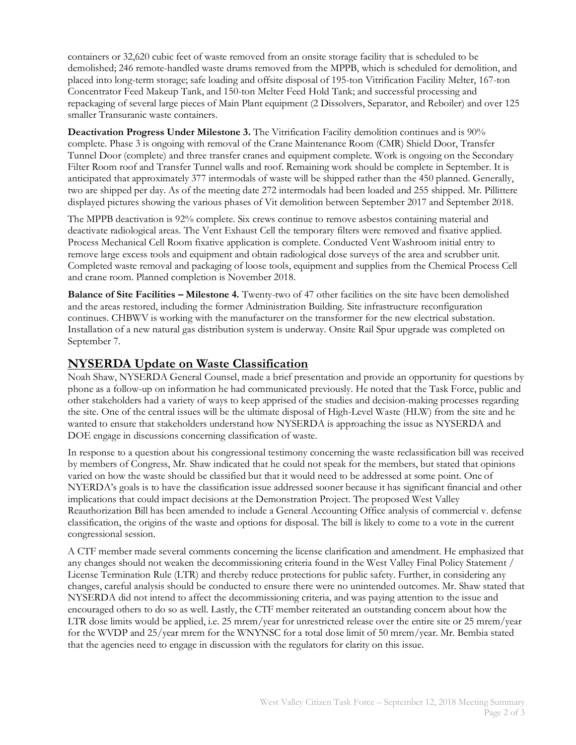containers or 32,620 cubic feet of waste removed from an onsite storage facility that is scheduled to be demolished; 246 remote-handled waste drums removed from the MPPB, which is scheduled for demolition, and placed into long-term storage; safe loading and offsite disposal of 195-ton Vitrification Facility Melter, 167-ton Concentrator Feed Makeup Tank, and 150-ton Melter Feed Hold Tank; and successful processing and repackaging of several large pieces of Main Plant equipment (2 Dissolvers, Separator, and Reboiler) and over 125 smaller Transuranic waste containers.

**Deactivation Progress Under Milestone 3.** The Vitrification Facility demolition continues and is 90% complete. Phase 3 is ongoing with removal of the Crane Maintenance Room (CMR) Shield Door, Transfer Tunnel Door (complete) and three transfer cranes and equipment complete. Work is ongoing on the Secondary Filter Room roof and Transfer Tunnel walls and roof. Remaining work should be complete in September. It is anticipated that approximately 377 intermodals of waste will be shipped rather than the 450 planned. Generally, two are shipped per day. As of the meeting date 272 intermodals had been loaded and 255 shipped. Mr. Pillittere displayed pictures showing the various phases of Vit demolition between September 2017 and September 2018.

The MPPB deactivation is 92% complete. Six crews continue to remove asbestos containing material and deactivate radiological areas. The Vent Exhaust Cell the temporary filters were removed and fixative applied. Process Mechanical Cell Room fixative application is complete. Conducted Vent Washroom initial entry to remove large excess tools and equipment and obtain radiological dose surveys of the area and scrubber unit. Completed waste removal and packaging of loose tools, equipment and supplies from the Chemical Process Cell and crane room. Planned completion is November 2018.

**Balance of Site Facilities – Milestone 4.** Twenty-two of 47 other facilities on the site have been demolished and the areas restored, including the former Administration Building. Site infrastructure reconfiguration continues. CHBWV is working with the manufacturer on the transformer for the new electrical substation. Installation of a new natural gas distribution system is underway. Onsite Rail Spur upgrade was completed on September 7.

#### **NYSERDA Update on Waste Classification**

Noah Shaw, NYSERDA General Counsel, made a brief presentation and provide an opportunity for questions by phone as a follow-up on information he had communicated previously. He noted that the Task Force, public and other stakeholders had a variety of ways to keep apprised of the studies and decision-making processes regarding the site. One of the central issues will be the ultimate disposal of High-Level Waste (HLW) from the site and he wanted to ensure that stakeholders understand how NYSERDA is approaching the issue as NYSERDA and DOE engage in discussions concerning classification of waste.

In response to a question about his congressional testimony concerning the waste reclassification bill was received by members of Congress, Mr. Shaw indicated that he could not speak for the members, but stated that opinions varied on how the waste should be classified but that it would need to be addressed at some point. One of NYERDA's goals is to have the classification issue addressed sooner because it has significant financial and other implications that could impact decisions at the Demonstration Project. The proposed West Valley Reauthorization Bill has been amended to include a General Accounting Office analysis of commercial v. defense classification, the origins of the waste and options for disposal. The bill is likely to come to a vote in the current congressional session.

A CTF member made several comments concerning the license clarification and amendment. He emphasized that any changes should not weaken the decommissioning criteria found in the West Valley Final Policy Statement / License Termination Rule (LTR) and thereby reduce protections for public safety. Further, in considering any changes, careful analysis should be conducted to ensure there were no unintended outcomes. Mr. Shaw stated that NYSERDA did not intend to affect the decommissioning criteria, and was paying attention to the issue and encouraged others to do so as well. Lastly, the CTF member reiterated an outstanding concern about how the LTR dose limits would be applied, i.e. 25 mrem/year for unrestricted release over the entire site or 25 mrem/year for the WVDP and 25/year mrem for the WNYNSC for a total dose limit of 50 mrem/year. Mr. Bembia stated that the agencies need to engage in discussion with the regulators for clarity on this issue.